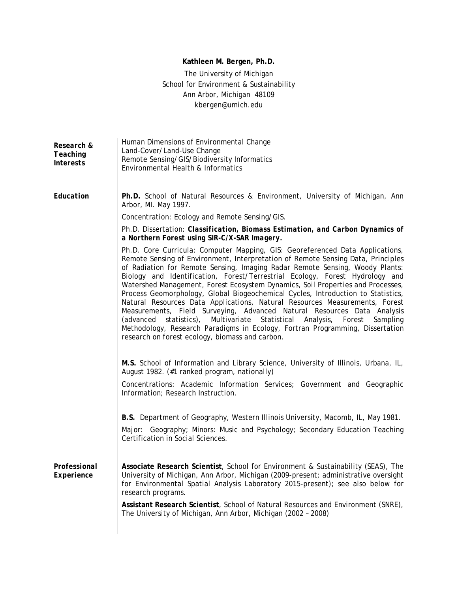# **Kathleen M. Bergen, Ph.D.**

# The University of Michigan School for Environment & Sustainability Ann Arbor, Michigan 48109 *kbergen@umich.edu*

| Research &<br>Teaching<br><b>Interests</b> | Human Dimensions of Environmental Change<br>Land-Cover/Land-Use Change<br>Remote Sensing/GIS/Biodiversity Informatics<br>Environmental Health & Informatics                                                                                                                                                                                                                                                                                                                                                                                                                                                                                                                                                                                                                                                                                                                                           |
|--------------------------------------------|-------------------------------------------------------------------------------------------------------------------------------------------------------------------------------------------------------------------------------------------------------------------------------------------------------------------------------------------------------------------------------------------------------------------------------------------------------------------------------------------------------------------------------------------------------------------------------------------------------------------------------------------------------------------------------------------------------------------------------------------------------------------------------------------------------------------------------------------------------------------------------------------------------|
| Education                                  | Ph.D. School of Natural Resources & Environment, University of Michigan, Ann<br>Arbor, MI. May 1997.                                                                                                                                                                                                                                                                                                                                                                                                                                                                                                                                                                                                                                                                                                                                                                                                  |
|                                            | Concentration: Ecology and Remote Sensing/GIS.                                                                                                                                                                                                                                                                                                                                                                                                                                                                                                                                                                                                                                                                                                                                                                                                                                                        |
|                                            | Ph.D. Dissertation: Classification, Biomass Estimation, and Carbon Dynamics of<br>a Northern Forest using SIR-C/X-SAR Imagery.                                                                                                                                                                                                                                                                                                                                                                                                                                                                                                                                                                                                                                                                                                                                                                        |
|                                            | Ph.D. Core Curricula: Computer Mapping, GIS: Georeferenced Data Applications,<br>Remote Sensing of Environment, Interpretation of Remote Sensing Data, Principles<br>of Radiation for Remote Sensing, Imaging Radar Remote Sensing, Woody Plants:<br>Biology and Identification, Forest/Terrestrial Ecology, Forest Hydrology and<br>Watershed Management, Forest Ecosystem Dynamics, Soil Properties and Processes,<br>Process Geomorphology, Global Biogeochemical Cycles, Introduction to Statistics,<br>Natural Resources Data Applications, Natural Resources Measurements, Forest<br>Measurements, Field Surveying, Advanced Natural Resources Data Analysis<br>statistics),<br>Multivariate<br>Statistical<br>Analysis,<br>(advanced<br>Forest<br>Sampling<br>Methodology, Research Paradigms in Ecology, Fortran Programming, Dissertation<br>research on forest ecology, biomass and carbon. |
|                                            | M.S. School of Information and Library Science, University of Illinois, Urbana, IL,<br>August 1982. (#1 ranked program, nationally)                                                                                                                                                                                                                                                                                                                                                                                                                                                                                                                                                                                                                                                                                                                                                                   |
|                                            | Concentrations: Academic Information Services; Government and Geographic<br>Information; Research Instruction.                                                                                                                                                                                                                                                                                                                                                                                                                                                                                                                                                                                                                                                                                                                                                                                        |
|                                            | B.S. Department of Geography, Western Illinois University, Macomb, IL, May 1981.                                                                                                                                                                                                                                                                                                                                                                                                                                                                                                                                                                                                                                                                                                                                                                                                                      |
|                                            | Major: Geography; Minors: Music and Psychology; Secondary Education Teaching<br>Certification in Social Sciences.                                                                                                                                                                                                                                                                                                                                                                                                                                                                                                                                                                                                                                                                                                                                                                                     |
| Professional<br>Experience                 | Associate Research Scientist, School for Environment & Sustainability (SEAS), The<br>University of Michigan, Ann Arbor, Michigan (2009-present; administrative oversight<br>for Environmental Spatial Analysis Laboratory 2015-present); see also below for<br>research programs.                                                                                                                                                                                                                                                                                                                                                                                                                                                                                                                                                                                                                     |
|                                            | Assistant Research Scientist, School of Natural Resources and Environment (SNRE),<br>The University of Michigan, Ann Arbor, Michigan (2002 - 2008)                                                                                                                                                                                                                                                                                                                                                                                                                                                                                                                                                                                                                                                                                                                                                    |
|                                            |                                                                                                                                                                                                                                                                                                                                                                                                                                                                                                                                                                                                                                                                                                                                                                                                                                                                                                       |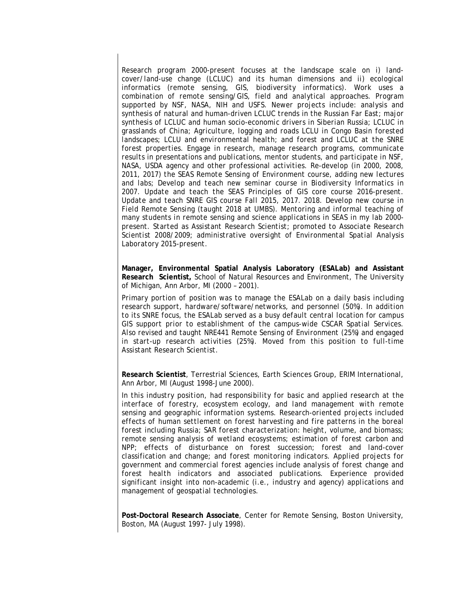*Research program 2000-present focuses at the landscape scale on i) landcover/land-use change (LCLUC) and its human dimensions and ii) ecological informatics (remote sensing, GIS, biodiversity informatics). Work uses a combination of remote sensing/GIS, field and analytical approaches. Program supported by NSF, NASA, NIH and USFS. Newer projects include: analysis and synthesis of natural and human-driven LCLUC trends in the Russian Far East; major synthesis of LCLUC and human socio-economic drivers in Siberian Russia; LCLUC in grasslands of China; Agriculture, logging and roads LCLU in Congo Basin forested landscapes; LCLU and environmental health; and forest and LCLUC at the SNRE forest properties. Engage in research, manage research programs, communicate results in presentations and publications, mentor students, and participate in NSF, NASA, USDA agency and other professional activities. Re-develop (in 2000, 2008, 2011, 2017) the SEAS Remote Sensing of Environment course, adding new lectures and labs; Develop and teach new seminar course in Biodiversity Informatics in 2007. Update and teach the SEAS Principles of GIS core course 2016-present. Update and teach SNRE GIS course Fall 2015, 2017. 2018. Develop new course in Field Remote Sensing (taught 2018 at UMBS). Mentoring and informal teaching of many students in remote sensing and science applications in SEAS in my lab 2000 present. Started as Assistant Research Scientist; promoted to Associate Research Scientist 2008/2009; administrative oversight of Environmental Spatial Analysis Laboratory 2015-present.*

**Manager, Environmental Spatial Analysis Laboratory (ESALab) and Assistant Research Scientist,** School of Natural Resources and Environment, The University of Michigan, Ann Arbor, MI (2000 – 2001).

*Primary portion of position was to manage the ESALab on a daily basis including research support, hardware/software/networks, and personnel (50%). In addition to its SNRE focus, the ESALab served as a busy default central location for campus GIS support prior to establishment of the campus-wide CSCAR Spatial Services. Also revised and taught NRE441 Remote Sensing of Environment (25%) and engaged in start-up research activities (25%). Moved from this position to full-time Assistant Research Scientist.*

**Research Scientist**, Terrestrial Sciences, Earth Sciences Group, ERIM International, Ann Arbor, MI (August 1998-June 2000).

*In this industry position, had responsibility for basic and applied research at the interface of forestry, ecosystem ecology, and land management with remote sensing and geographic information systems. Research-oriented projects included effects of human settlement on forest harvesting and fire patterns in the boreal forest including Russia; SAR forest characterization: height, volume, and biomass; remote sensing analysis of wetland ecosystems; estimation of forest carbon and NPP; effects of disturbance on forest succession; forest and land-cover classification and change; and forest monitoring indicators. Applied projects for government and commercial forest agencies include analysis of forest change and forest health indicators and associated publications. Experience provided significant insight into non-academic (i.e., industry and agency) applications and management of geospatial technologies.*

**Post-Doctoral Research Associate**, Center for Remote Sensing, Boston University, Boston, MA (August 1997- July 1998).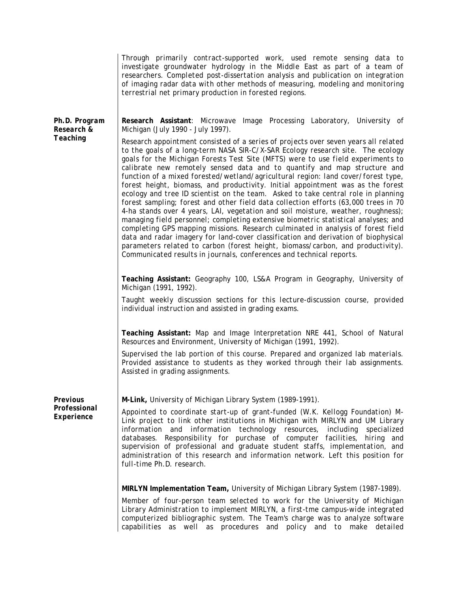|                                         | Through primarily contract-supported work, used remote sensing data to<br>investigate groundwater hydrology in the Middle East as part of a team of<br>researchers. Completed post-dissertation analysis and publication on integration<br>of imaging radar data with other methods of measuring, modeling and monitoring<br>terrestrial net primary production in forested regions.                                                                                                                                                                                                                                                                                                                                                                                                                                                                                                                                                                                                                                                                                                                                                                                                                                                                                                                                        |
|-----------------------------------------|-----------------------------------------------------------------------------------------------------------------------------------------------------------------------------------------------------------------------------------------------------------------------------------------------------------------------------------------------------------------------------------------------------------------------------------------------------------------------------------------------------------------------------------------------------------------------------------------------------------------------------------------------------------------------------------------------------------------------------------------------------------------------------------------------------------------------------------------------------------------------------------------------------------------------------------------------------------------------------------------------------------------------------------------------------------------------------------------------------------------------------------------------------------------------------------------------------------------------------------------------------------------------------------------------------------------------------|
| Ph.D. Program<br>Research &<br>Teaching | Research Assistant: Microwave Image Processing Laboratory, University of<br>Michigan (July 1990 - July 1997).<br>Research appointment consisted of a series of projects over seven years all related<br>to the goals of a long-term NASA SIR-C/X-SAR Ecology research site. The ecology<br>goals for the Michigan Forests Test Site (MFTS) were to use field experiments to<br>calibrate new remotely sensed data and to quantify and map structure and<br>function of a mixed forested/wetland/agricultural region: land cover/forest type,<br>forest height, biomass, and productivity. Initial appointment was as the forest<br>ecology and tree ID scientist on the team. Asked to take central role in planning<br>forest sampling; forest and other field data collection efforts (63,000 trees in 70<br>4-ha stands over 4 years, LAI, vegetation and soil moisture, weather, roughness);<br>managing field personnel; completing extensive biometric statistical analyses; and<br>completing GPS mapping missions. Research culminated in analysis of forest field<br>data and radar imagery for land-cover classification and derivation of biophysical<br>parameters related to carbon (forest height, biomass/carbon, and productivity).<br>Communicated results in journals, conferences and technical reports. |
|                                         | Teaching Assistant: Geography 100, LS&A Program in Geography, University of<br>Michigan (1991, 1992).<br>Taught weekly discussion sections for this lecture-discussion course, provided<br>individual instruction and assisted in grading exams.<br>Teaching Assistant: Map and Image Interpretation NRE 441, School of Natural<br>Resources and Environment, University of Michigan (1991, 1992).<br>Supervised the lab portion of this course. Prepared and organized lab materials.<br>Provided assistance to students as they worked through their lab assignments.<br>Assisted in grading assignments.                                                                                                                                                                                                                                                                                                                                                                                                                                                                                                                                                                                                                                                                                                                 |
| Previous<br>Professional<br>Experience  | M-Link, University of Michigan Library System (1989-1991).<br>Appointed to coordinate start-up of grant-funded (W.K. Kellogg Foundation) M-<br>Link project to link other institutions in Michigan with MIRLYN and UM Library<br>information and information technology resources, including specialized<br>databases. Responsibility for purchase of computer facilities, hiring and<br>supervision of professional and graduate student staffs, implementation, and<br>administration of this research and information network. Left this position for<br>full-time Ph.D. research.<br>MIRLYN Implementation Team, University of Michigan Library System (1987-1989).<br>Member of four-person team selected to work for the University of Michigan<br>Library Administration to implement MIRLYN, a first-tme campus-wide integrated<br>computerized bibliographic system. The Team's charge was to analyze software<br>capabilities as well as procedures and policy and to make detailed                                                                                                                                                                                                                                                                                                                               |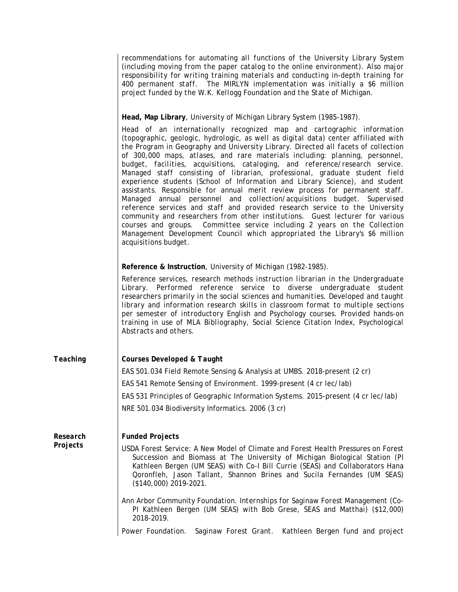|                      | recommendations for automating all functions of the University Library System<br>(including moving from the paper catalog to the online environment). Also major<br>responsibility for writing training materials and conducting in-depth training for<br>400 permanent staff. The MIRLYN implementation was initially a \$6 million<br>project funded by the W.K. Kellogg Foundation and the State of Michigan.                                                                                                                                                                                                                                                                                                                                                                                                                                                                                                                                                                                                                                                                                    |
|----------------------|-----------------------------------------------------------------------------------------------------------------------------------------------------------------------------------------------------------------------------------------------------------------------------------------------------------------------------------------------------------------------------------------------------------------------------------------------------------------------------------------------------------------------------------------------------------------------------------------------------------------------------------------------------------------------------------------------------------------------------------------------------------------------------------------------------------------------------------------------------------------------------------------------------------------------------------------------------------------------------------------------------------------------------------------------------------------------------------------------------|
|                      | Head, Map Library, University of Michigan Library System (1985-1987).                                                                                                                                                                                                                                                                                                                                                                                                                                                                                                                                                                                                                                                                                                                                                                                                                                                                                                                                                                                                                               |
|                      | Head of an internationally recognized map and cartographic information<br>(topographic, geologic, hydrologic, as well as digital data) center affiliated with<br>the Program in Geography and University Library. Directed all facets of collection<br>of 300,000 maps, atlases, and rare materials including: planning, personnel,<br>budget, facilities, acquisitions, cataloging, and reference/research service.<br>Managed staff consisting of librarian, professional, graduate student field<br>experience students (School of Information and Library Science), and student<br>assistants. Responsible for annual merit review process for permanent staff.<br>Managed annual personnel and collection/acquisitions budget. Supervised<br>reference services and staff and provided research service to the University<br>community and researchers from other institutions. Guest lecturer for various<br>courses and groups. Committee service including 2 years on the Collection<br>Management Development Council which appropriated the Library's \$6 million<br>acquisitions budget. |
|                      | Reference & Instruction, University of Michigan (1982-1985).                                                                                                                                                                                                                                                                                                                                                                                                                                                                                                                                                                                                                                                                                                                                                                                                                                                                                                                                                                                                                                        |
|                      | Reference services, research methods instruction librarian in the Undergraduate<br>Library. Performed reference service to diverse undergraduate student<br>researchers primarily in the social sciences and humanities. Developed and taught<br>library and information research skills in classroom format to multiple sections<br>per semester of introductory English and Psychology courses. Provided hands-on<br>training in use of MLA Bibliography, Social Science Citation Index, Psychological<br>Abstracts and others.                                                                                                                                                                                                                                                                                                                                                                                                                                                                                                                                                                   |
| Teaching             | Courses Developed & Taught                                                                                                                                                                                                                                                                                                                                                                                                                                                                                                                                                                                                                                                                                                                                                                                                                                                                                                                                                                                                                                                                          |
|                      | EAS 501.034 Field Remote Sensing & Analysis at UMBS. 2018-present (2 cr)                                                                                                                                                                                                                                                                                                                                                                                                                                                                                                                                                                                                                                                                                                                                                                                                                                                                                                                                                                                                                            |
|                      | EAS 541 Remote Sensing of Environment. 1999-present (4 cr lec/lab)                                                                                                                                                                                                                                                                                                                                                                                                                                                                                                                                                                                                                                                                                                                                                                                                                                                                                                                                                                                                                                  |
|                      | EAS 531 Principles of Geographic Information Systems. 2015-present (4 cr lec/lab)                                                                                                                                                                                                                                                                                                                                                                                                                                                                                                                                                                                                                                                                                                                                                                                                                                                                                                                                                                                                                   |
|                      | NRE 501.034 Biodiversity Informatics. 2006 (3 cr)                                                                                                                                                                                                                                                                                                                                                                                                                                                                                                                                                                                                                                                                                                                                                                                                                                                                                                                                                                                                                                                   |
| Research<br>Projects | <b>Funded Projects</b>                                                                                                                                                                                                                                                                                                                                                                                                                                                                                                                                                                                                                                                                                                                                                                                                                                                                                                                                                                                                                                                                              |
|                      | USDA Forest Service: A New Model of Climate and Forest Health Pressures on Forest<br>Succession and Biomass at The University of Michigan Biological Station (PI<br>Kathleen Bergen (UM SEAS) with Co-I Bill Currie (SEAS) and Collaborators Hana<br>Qoronfleh, Jason Tallant, Shannon Brines and Sucila Fernandes (UM SEAS)<br>(\$140,000) 2019-2021.                                                                                                                                                                                                                                                                                                                                                                                                                                                                                                                                                                                                                                                                                                                                              |
|                      | Ann Arbor Community Foundation. Internships for Saginaw Forest Management (Co-<br>PI Kathleen Bergen (UM SEAS) with Bob Grese, SEAS and Matthai) (\$12,000)<br>2018-2019.                                                                                                                                                                                                                                                                                                                                                                                                                                                                                                                                                                                                                                                                                                                                                                                                                                                                                                                           |
|                      | Power Foundation.<br>Kathleen Bergen fund and project<br>Saginaw Forest Grant.                                                                                                                                                                                                                                                                                                                                                                                                                                                                                                                                                                                                                                                                                                                                                                                                                                                                                                                                                                                                                      |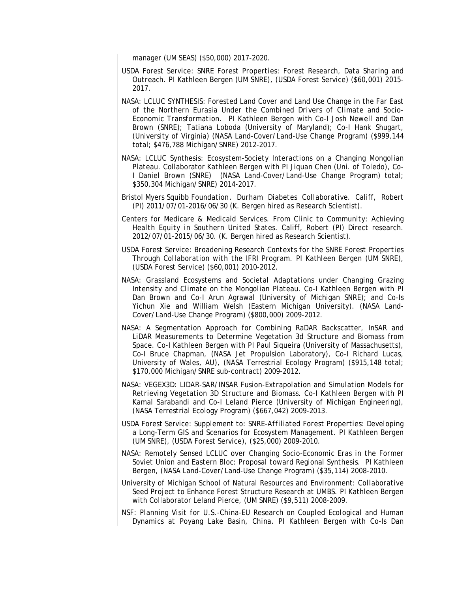manager (UM SEAS) (\$50,000) 2017-2020.

- USDA Forest Service: *SNRE Forest Properties: Forest Research, Data Sharing and Outreach*. PI Kathleen Bergen (UM SNRE), (USDA Forest Service) (\$60,001) 2015- 2017.
- NASA: LCLUC SYNTHESIS: *Forested Land Cover and Land Use Change in the Far East of the Northern Eurasia Under the Combined Drivers of Climate and Socio-Economic Transformation*. PI Kathleen Bergen with Co-I Josh Newell and Dan Brown (SNRE); Tatiana Loboda (University of Maryland); Co-I Hank Shugart, (University of Virginia) (NASA Land-Cover/Land-Use Change Program) (\$999,144 total; \$476,788 Michigan/SNRE) 2012-2017.
- NASA: LCLUC Synthesis: *Ecosystem-Society Interactions on a Changing Mongolian Plateau.* Collaborator Kathleen Bergen with PI Jiquan Chen (Uni. of Toledo), Co-I Daniel Brown (SNRE) (NASA Land-Cover/Land-Use Change Program) total; \$350,304 Michigan/SNRE) 2014-2017.
- Bristol Myers Squibb Foundation. *Durham Diabetes Collaborative.* Califf, Robert (PI) 2011/07/01-2016/06/30 (K. Bergen hired as Research Scientist).
- Centers for Medicare & Medicaid Services. *From Clinic to Community: Achieving Health Equity in Southern United States*. Califf, Robert (PI) Direct research. 2012/07/01-2015/06/30. (K. Bergen hired as Research Scientist).
- USDA Forest Service: *Broadening Research Contexts for the SNRE Forest Properties Through Collaboration with the IFRI Program*. PI Kathleen Bergen (UM SNRE), (USDA Forest Service) (\$60,001) 2010-2012.
- NASA: *Grassland Ecosystems and Societal Adaptations under Changing Grazing Intensity and Climate on the Mongolian Plateau.* Co-I Kathleen Bergen with PI Dan Brown and Co-I Arun Agrawal (University of Michigan SNRE); and Co-Is Yichun Xie and William Welsh (Eastern Michigan University). (NASA Land-Cover/Land-Use Change Program) (\$800,000) 2009-2012.
- NASA: A Segmentation Approach for Combining RaDAR Backscatter, InSAR and LiDAR Measurements to Determine Vegetation 3d Structure and Biomass from Space. Co-I Kathleen Bergen with PI Paul Siqueira (University of Massachusetts), Co-I Bruce Chapman, (NASA Jet Propulsion Laboratory), Co-I Richard Lucas, University of Wales, AU), (NASA Terrestrial Ecology Program) (\$915,148 total; \$170,000 Michigan/SNRE sub-contract) 2009-2012.
- NASA: *VEGEX3D: LIDAR-SAR/INSAR Fusion-Extrapolation and Simulation Models for Retrieving Vegetation 3D Structure and Biomass.* Co-I Kathleen Bergen with PI Kamal Sarabandi and Co-I Leland Pierce (University of Michigan Engineering), (NASA Terrestrial Ecology Program) (\$667,042) 2009-2013.
- USDA Forest Service: Supplement to: *SNRE-Affiliated Forest Properties: Developing a Long-Term GIS and Scenarios for Ecosystem Management*. PI Kathleen Bergen (UM SNRE), (USDA Forest Service), (\$25,000) 2009-2010.
- NASA: *Remotely Sensed LCLUC over Changing Socio-Economic Eras in the Former Soviet Union and Eastern Bloc: Proposal toward Regional Synthesis*. PI Kathleen Bergen, (NASA Land-Cover/Land-Use Change Program) (\$35,114) 2008-2010.
- University of Michigan School of Natural Resources and Environment: *Collaborative Seed Project to Enhance Forest Structure Research at UMBS*. PI Kathleen Bergen with Collaborator Leland Pierce, (UM SNRE) (\$9,511) 2008-2009.
- NSF: *Planning Visit for U.S.-China-EU Research on Coupled Ecological and Human Dynamics at Poyang Lake Basin, China*. PI Kathleen Bergen with Co-Is Dan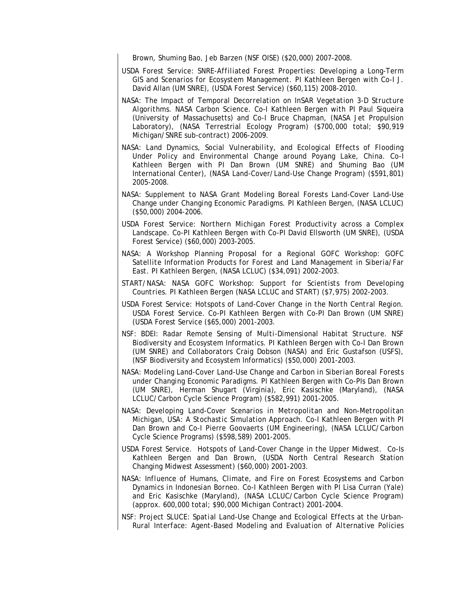Brown, Shuming Bao, Jeb Barzen (NSF OISE) (\$20,000) 2007-2008.

- USDA Forest Service: *SNRE-Affiliated Forest Properties: Developing a Long-Term GIS and Scenarios for Ecosystem Management*. PI Kathleen Bergen with Co-I J. David Allan (UM SNRE), (USDA Forest Service) (\$60,115) 2008-2010.
- NASA: *The Impact of Temporal Decorrelation on InSAR Vegetation 3-D Structure Algorithms*. NASA Carbon Science. Co-I Kathleen Bergen with PI Paul Siqueira (University of Massachusetts) and Co-I Bruce Chapman, (NASA Jet Propulsion Laboratory), (NASA Terrestrial Ecology Program) (\$700,000 total; \$90,919 Michigan/SNRE sub-contract) 2006-2009.
- NASA: *Land Dynamics, Social Vulnerability, and Ecological Effects of Flooding Under Policy and Environmental Change around Poyang Lake, China*. Co-I Kathleen Bergen with PI Dan Brown (UM SNRE) and Shuming Bao (UM International Center), (NASA Land-Cover/Land-Use Change Program) (\$591,801) 2005-2008.
- NASA: *Supplement to NASA Grant Modeling Boreal Forests Land-Cover Land-Use Change under Changing Economic Paradigms*. PI Kathleen Bergen, (NASA LCLUC) (\$50,000) 2004-2006.
- USDA Forest Service: *Northern Michigan Forest Productivity across a Complex Landscape*. Co-PI Kathleen Bergen with Co-PI David Ellsworth (UM SNRE), (USDA Forest Service) (\$60,000) 2003-2005.
- NASA: *A Workshop Planning Proposal for a Regional GOFC Workshop: GOFC Satellite Information Products for Forest and Land Management in Siberia/Far East*. PI Kathleen Bergen, (NASA LCLUC) (\$34,091) 2002-2003.
- START/NASA: *NASA GOFC Workshop: Support for Scientists from Developing Countries*. PI Kathleen Bergen (NASA LCLUC and START) (\$7,975) 2002-2003.
- USDA Forest Service: *Hotspots of Land-Cover Change in the North Central Region*. *USDA Forest Service.* Co-PI Kathleen Bergen with Co-PI Dan Brown (UM SNRE) (USDA Forest Service (\$65,000) 2001-2003.
- NSF: *BDEI: Radar Remote Sensing of Multi-Dimensional Habitat Structure*. NSF Biodiversity and Ecosystem Informatics*.* PI Kathleen Bergen with Co-I Dan Brown (UM SNRE) and Collaborators Craig Dobson (NASA) and Eric Gustafson (USFS), (NSF Biodiversity and Ecosystem Informatics) (\$50,000) 2001-2003.
- NASA: *Modeling Land-Cover Land-Use Change and Carbon in Siberian Boreal Forests under Changing Economic Paradigms*. PI Kathleen Bergen with Co-PIs Dan Brown (UM SNRE), Herman Shugart (Virginia), Eric Kasischke (Maryland), (NASA LCLUC/Carbon Cycle Science Program) (\$582,991) 2001-2005.
- NASA: *Developing Land-Cover Scenarios in Metropolitan and Non-Metropolitan Michigan, USA: A Stochastic Simulation Approach*. Co-I Kathleen Bergen with PI Dan Brown and Co-I Pierre Goovaerts (UM Engineering), (NASA LCLUC/Carbon Cycle Science Programs) (\$598,589) 2001-2005.
- USDA Forest Service. Hotspots of Land-Cover Change in the Upper Midwest. Co-Is Kathleen Bergen and Dan Brown, (USDA North Central Research Station Changing Midwest Assessment) (\$60,000) 2001-2003.
- NASA: *Influence of Humans, Climate, and Fire on Forest Ecosystems and Carbon Dynamics in Indonesian Borneo*. Co-I Kathleen Bergen with PI Lisa Curran (Yale) and Eric Kasischke (Maryland), (NASA LCLUC/Carbon Cycle Science Program) (approx. 600,000 total; \$90,000 Michigan Contract) 2001-2004.
- NSF: *Project SLUCE: Spatial Land-Use Change and Ecological Effects at the Urban-Rural Interface: Agent-Based Modeling and Evaluation of Alternative Policies*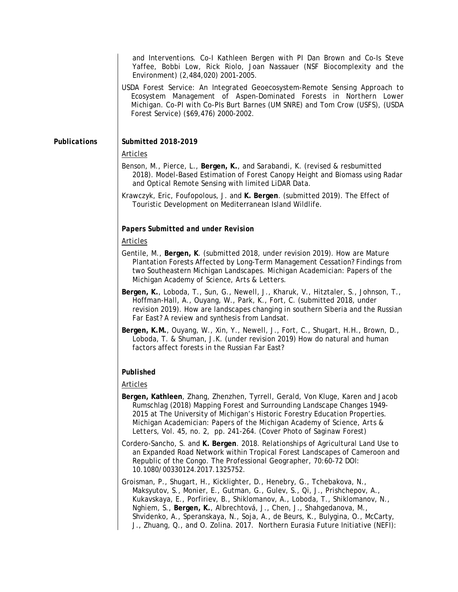*and Interventions*. Co-I Kathleen Bergen with PI Dan Brown and Co-Is Steve Yaffee, Bobbi Low, Rick Riolo, Joan Nassauer (NSF Biocomplexity and the Environment) (2,484,020) 2001-2005.

USDA Forest Service: *An Integrated Geoecosystem-Remote Sensing Approach to Ecosystem Management of Aspen-Dominated Forests in Northern Lower Michigan*. Co-PI with Co-PIs Burt Barnes (UM SNRE) and Tom Crow (USFS), (USDA Forest Service) (\$69,476) 2000-2002.

#### *Publications Submitted 2018-2019*

### Articles

- Benson, M., Pierce, L., **Bergen, K.**, and Sarabandi, K. (revised & resbumitted 2018). Model-Based Estimation of Forest Canopy Height and Biomass using Radar and Optical Remote Sensing with limited LiDAR Data.
- Krawczyk, Eric, Foufopolous, J. and **K. Bergen**. (submitted 2019). The Effect of Touristic Development on Mediterranean Island Wildlife.

## *Papers Submitted and under Revision*

### Articles

- Gentile, M., **Bergen, K**. (submitted 2018, under revision 2019). How are Mature Plantation Forests Affected by Long-Term Management Cessation? Findings from two Southeastern Michigan Landscapes. *Michigan Academician: Papers of the Michigan Academy of Science, Arts & Letters*.
- **Bergen, K.**, Loboda, T., Sun, G., Newell, J., Kharuk, V., Hitztaler, S., Johnson, T., Hoffman-Hall, A., Ouyang, W., Park, K., Fort, C. (submitted 2018, under revision 2019). How are landscapes changing in southern Siberia and the Russian Far East? A review and synthesis from Landsat.
- **Bergen, K.M.**, Ouyang, W., Xin, Y., Newell, J., Fort, C., Shugart, H.H., Brown, D., Loboda, T. & Shuman, J.K. (under revision 2019) How do natural and human factors affect forests in the Russian Far East?

### *Published*

## Articles

- **Bergen, Kathleen**, Zhang, Zhenzhen, Tyrrell, Gerald, Von Kluge, Karen and Jacob Rumschlag (2018) Mapping Forest and Surrounding Landscape Changes 1949- 2015 at The University of Michigan's Historic Forestry Education Properties. *Michigan Academician: Papers of the Michigan Academy of Science, Arts & Letters*, Vol. 45, no. 2, pp. 241-264. (Cover Photo of Saginaw Forest)
- Cordero-Sancho, S. and **K. Bergen**. 2018. Relationships of Agricultural Land Use to an Expanded Road Network within Tropical Forest Landscapes of Cameroon and Republic of the Congo. *The Professional Geographer*, 70:60-72 DOI: 10.1080/00330124.2017.1325752.
- Groisman, P., Shugart, H., Kicklighter, D., Henebry, G., Tchebakova, N., Maksyutov, S., Monier, E., Gutman, G., Gulev, S., Qi, J., Prishchepov, A., Kukavskaya, E., Porfiriev, B., Shiklomanov, A., Loboda, T., Shiklomanov, N., Nghiem, S., **Bergen, K.**, Albrechtová, J., Chen, J., Shahgedanova, M., Shvidenko, A., Speranskaya, N., Soja, A., de Beurs, K., Bulygina, O., McCarty, J., Zhuang, Q., and O. Zolina. 2017. Northern Eurasia Future Initiative (NEFI):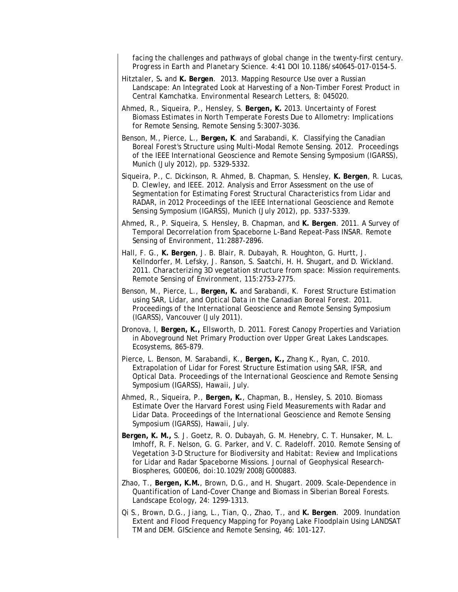facing the challenges and pathways of global change in the twenty-first century. *Progress in Earth and Planetary Science*. 4:41 DOI 10.1186/s40645-017-0154-5.

- Hitztaler, S**.** and **K. Bergen**. 2013. Mapping Resource Use over a Russian Landscape: An Integrated Look at Harvesting of a Non-Timber Forest Product in Central Kamchatka. *Environmental Research Letters*, 8: 045020.
- Ahmed, R., Siqueira, P., Hensley, S. **Bergen, K.** 2013. Uncertainty of Forest Biomass Estimates in North Temperate Forests Due to Allometry: Implications for Remote Sensing, *Remote Sensing* 5:3007-3036.
- Benson, M., Pierce, L., **Bergen, K**. and Sarabandi, K. Classifying the Canadian Boreal Forest's Structure using Multi-Modal Remote Sensing. 2012. *Proceedings of the IEEE International Geoscience and Remote Sensing Symposium (IGARSS)*, Munich (July 2012), pp. 5329-5332.
- Siqueira, P., C. Dickinson, R. Ahmed, B. Chapman, S. Hensley, **K. Bergen**, R. Lucas, D. Clewley, and IEEE. 2012. Analysis and Error Assessment on the use of Segmentation for Estimating Forest Structural Characteristics from Lidar and RADAR, in *2012 Proceedings of the IEEE International Geoscience and Remote Sensing Symposium (IGARSS)*, Munich (July 2012), pp. 5337-5339.
- Ahmed, R., P. Siqueira, S. Hensley, B. Chapman, and **K. Bergen**. 2011. A Survey of Temporal Decorrelation from Spaceborne L-Band Repeat-Pass INSAR. *Remote Sensing of Environment*, 11:2887-2896.
- Hall, F. G., **K. Bergen**, J. B. Blair, R. Dubayah, R. Houghton, G. Hurtt, J. Kellndorfer, M. Lefsky, J. Ranson, S. Saatchi, H. H. Shugart, and D. Wickland. 2011. Characterizing 3D vegetation structure from space: Mission requirements. *Remote Sensing of Environment*, 115:2753-2775.
- Benson, M., Pierce, L., **Bergen, K.** and Sarabandi, K. Forest Structure Estimation using SAR, Lidar, and Optical Data in the Canadian Boreal Forest. 2011. *Proceedings of the International Geoscience and Remote Sensing Symposium (IGARSS)*, Vancouver (July 2011).
- Dronova, I, **Bergen, K.,** Ellsworth, D. 2011. Forest Canopy Properties and Variation in Aboveground Net Primary Production over Upper Great Lakes Landscapes. *Ecosystems*, 865-879.
- Pierce, L. Benson, M. Sarabandi, K., **Bergen, K.,** Zhang K., Ryan, C. 2010. Extrapolation of Lidar for Forest Structure Estimation using SAR, IFSR, and Optical Data. *Proceedings of the International Geoscience and Remote Sensing Symposium (IGARSS)*, Hawaii, July.
- Ahmed, R., Siqueira, P., **Bergen, K.**, Chapman, B., Hensley, S. 2010. Biomass Estimate Over the Harvard Forest using Field Measurements with Radar and Lidar Data. *Proceedings of the International Geoscience and Remote Sensing Symposium (IGARSS)*, Hawaii, July.
- **Bergen, K. M.,** S. J. Goetz, R. O. Dubayah, G. M. Henebry, C. T. Hunsaker, M. L. Imhoff, R. F. Nelson, G. G. Parker, and V. C. Radeloff. 2010. Remote Sensing of Vegetation 3-D Structure for Biodiversity and Habitat: Review and Implications for Lidar and Radar Spaceborne Missions. *Journal of Geophysical Research-Biospheres,* G00E06, doi:10.1029/2008JG000883.
- Zhao, T., **Bergen, K.M.**, Brown, D.G., and H. Shugart. 2009. Scale-Dependence in Quantification of Land-Cover Change and Biomass in Siberian Boreal Forests. *Landscape Ecology,* 24: 1299-1313.
- Qi S., Brown, D.G., Jiang, L., Tian, Q., Zhao, T., and **K. Bergen**. 2009. Inundation Extent and Flood Frequency Mapping for Poyang Lake Floodplain Using LANDSAT TM and DEM. *GIScience and Remote Sensing*, 46: 101-127.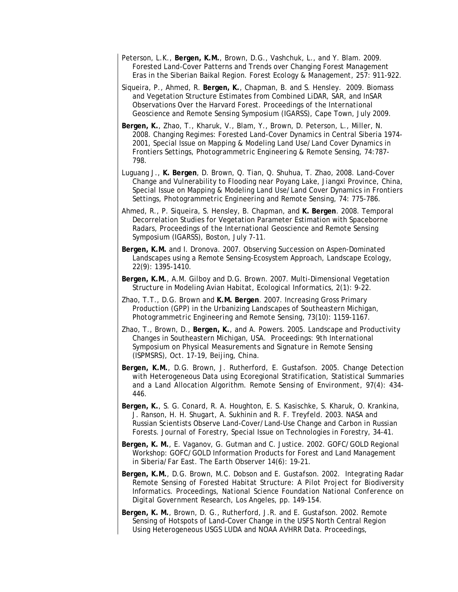- Peterson, L.K., **Bergen, K.M.**, Brown, D.G., Vashchuk, L., and Y. Blam. 2009. Forested Land-Cover Patterns and Trends over Changing Forest Management Eras in the Siberian Baikal Region. *Forest Ecology & Management*, 257: 911-922.
- Siqueira, P., Ahmed, R. **Bergen, K.**, Chapman, B. and S. Hensley. 2009. Biomass and Vegetation Structure Estimates from Combined LiDAR, SAR, and InSAR Observations Over the Harvard Forest. *Proceedings of the International Geoscience and Remote Sensing Symposium (IGARSS)*, Cape Town, July 2009.
- **Bergen, K.**, Zhao, T., Kharuk, V., Blam, Y., Brown, D. Peterson, L., Miller, N. 2008. Changing Regimes: Forested Land-Cover Dynamics in Central Siberia 1974- 2001, Special Issue on Mapping & Modeling Land Use/Land Cover Dynamics in Frontiers Settings, *Photogrammetric Engineering & Remote Sensing*, 74:787- 798.
- Luguang J., **K. Bergen**, D. Brown, Q. Tian, Q. Shuhua, T. Zhao, 2008. Land-Cover Change and Vulnerability to Flooding near Poyang Lake, Jiangxi Province, China, Special Issue on Mapping & Modeling Land Use/Land Cover Dynamics in Frontiers Settings, *Photogrammetric Engineering and Remote Sensing*, 74: 775-786.
- Ahmed, R., P. Siqueira, S. Hensley, B. Chapman, and **K. Bergen**. 2008. Temporal Decorrelation Studies for Vegetation Parameter Estimation with Spaceborne Radars, *Proceedings of the International Geoscience and Remote Sensing Symposium (IGARSS)*, Boston, July 7-11.
- **Bergen, K.M.** and I. Dronova. 2007. Observing Succession on Aspen-Dominated Landscapes using a Remote Sensing-Ecosystem Approach, *Landscape Ecology*, 22(9): 1395-1410.
- **Bergen, K.M.**, A.M. Gilboy and D.G. Brown. 2007. Multi-Dimensional Vegetation Structure in Modeling Avian Habitat, *Ecological Informatics*, 2(1): 9-22.
- Zhao, T.T., D.G. Brown and **K.M. Bergen**. 2007. Increasing Gross Primary Production (GPP) in the Urbanizing Landscapes of Southeastern Michigan, *Photogrammetric Engineering and Remote Sensing*, 73(10): 1159-1167.
- Zhao, T., Brown, D., **Bergen, K.**, and A. Powers. 2005*.* Landscape and Productivity Changes in Southeastern Michigan, USA. *Proceedings: 9th International Symposium on Physical Measurements and Signature in Remote Sensing (ISPMSRS),* Oct. 17-19, Beijing, China.
- **Bergen, K.M.**, D.G. Brown, J. Rutherford, E. Gustafson. 2005. Change Detection with Heterogeneous Data using Ecoregional Stratification, Statistical Summaries and a Land Allocation Algorithm. *Remote Sensing of Environment*, 97(4): 434- 446.
- **Bergen, K.**, S. G. Conard, R. A. Houghton, E. S. Kasischke, S. Kharuk, O. Krankina, J. Ranson, H. H. Shugart, A. Sukhinin and R. F. Treyfeld. 2003. NASA and Russian Scientists Observe Land-Cover/Land-Use Change and Carbon in Russian Forests. *Journal of Forestry*, Special Issue on Technologies in Forestry, 34-41.
- **Bergen, K. M.**, E. Vaganov, G. Gutman and C. Justice. 2002. GOFC/GOLD Regional Workshop: GOFC/GOLD Information Products for Forest and Land Management in Siberia/Far East. *The Earth Observer* 14(6): 19-21.
- **Bergen, K.M.**, D.G. Brown, M.C. Dobson and E. Gustafson. 2002. Integrating Radar Remote Sensing of Forested Habitat Structure: A Pilot Project for Biodiversity Informatics. *Proceedings, National Science Foundation National Conference on Digital Government Research*, Los Angeles, pp. 149-154.
- **Bergen, K. M.**, Brown, D. G., Rutherford, J.R. and E. Gustafson. 2002. Remote Sensing of Hotspots of Land-Cover Change in the USFS North Central Region Using Heterogeneous USGS LUDA and NOAA AVHRR Data*. Proceedings,*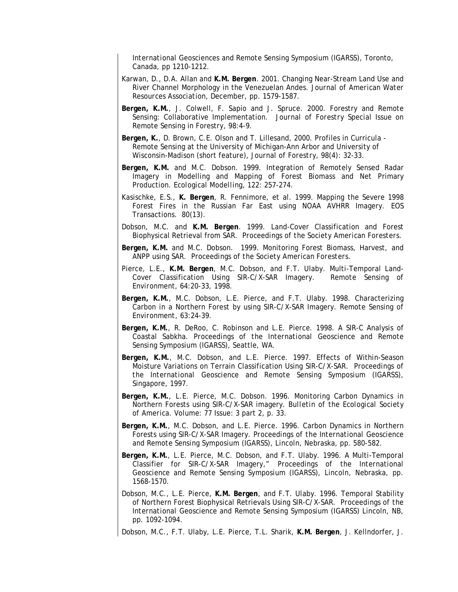*International Geosciences and Remote Sensing Symposium (IGARSS*), Toronto, Canada, pp 1210-1212.

- Karwan, D., D.A. Allan and **K.M. Bergen**. 2001. Changing Near-Stream Land Use and River Channel Morphology in the Venezuelan Andes. *Journal of American Water Resources Association*, December, pp. 1579-1587.
- **Bergen, K.M.**, J. Colwell, F. Sapio and J. Spruce. 2000. Forestry and Remote Sensing: Collaborative Implementation. *Journal of Forestry* Special Issue on Remote Sensing in Forestry, 98:4-9.
- **Bergen, K.**, D. Brown, C.E. Olson and T. Lillesand, 2000. Profiles in Curricula Remote Sensing at the University of Michigan-Ann Arbor and University of Wisconsin-Madison (short feature), *Journal of Forestry*, 98(4): 32-33.
- **Bergen, K.M.** and M.C. Dobson. 1999. Integration of Remotely Sensed Radar Imagery in Modelling and Mapping of Forest Biomass and Net Primary Production. *Ecological Modelling*, 122: 257-274.
- Kasischke, E.S., **K. Bergen**, R. Fennimore, et al. 1999. Mapping the Severe 1998 Forest Fires in the Russian Far East using NOAA AVHRR Imagery. EOS Transactions. 80(13).
- Dobson, M.C. and **K.M. Bergen**. 1999. Land-Cover Classification and Forest Biophysical Retrieval from SAR. *Proceedings of the Society American Foresters.*
- **Bergen, K.M.** and M.C. Dobson. 1999. Monitoring Forest Biomass, Harvest, and ANPP using SAR*. Proceedings of the Society American Foresters.*
- Pierce, L.E., **K.M. Bergen**, M.C. Dobson, and F.T. Ulaby. Multi-Temporal Land-Cover Classification Using SIR-C/X-SAR Imagery. *Remote Sensing of Environ*ment, 64:20-33, 1998.
- **Bergen, K.M.**, M.C. Dobson, L.E. Pierce, and F.T. Ulaby. 1998. Characterizing Carbon in a Northern Forest by using SIR-C/X-SAR Imagery. *Remote Sensing of Environment,* 63:24-39.
- **Bergen, K.M.**, R. DeRoo, C. Robinson and L.E. Pierce. 1998. A SIR-C Analysis of Coastal Sabkha*. Proceedings of the International Geoscience and Remote Sensing Symposium (IGARSS),* Seattle, WA.
- **Bergen, K.M.**, M.C. Dobson, and L.E. Pierce. 1997. Effects of Within-Season Moisture Variations on Terrain Classification Using SIR-C/X-SAR. *Proceedings of the International Geoscience and Remote Sensing Symposium (IGARSS),* Singapore, 1997.
- **Bergen, K.M.**, L.E. Pierce, M.C. Dobson. 1996. Monitoring Carbon Dynamics in Northern Forests using SIR-C/X-SAR imagery. *Bulletin of the Ecological Society of America*. Volume: 77 Issue: 3 part 2, p. 33.
- **Bergen, K.M.**, M.C. Dobson, and L.E. Pierce. 1996. Carbon Dynamics in Northern Forests using SIR-C/X-SAR Imagery. *Proceedings of the International Geoscience and Remote Sensing Symposium (IGARSS),* Lincoln, Nebraska, pp. 580-582.
- **Bergen, K.M.**, L.E. Pierce, M.C. Dobson, and F.T. Ulaby. 1996. A Multi-Temporal Classifier for SIR-C/X-SAR Imagery," *Proceedings of the International Geoscience and Remote Sensing Symposium (IGARSS)*, Lincoln, Nebraska, pp. 1568-1570.
- Dobson, M.C., L.E. Pierce, **K.M. Bergen**, and F.T. Ulaby. 1996. Temporal Stability of Northern Forest Biophysical Retrievals Using SIR-C/X-SAR. *Proceedings of the International Geoscience and Remote Sensing Symposium (IGARSS)* Lincoln, NB, pp. 1092-1094.

Dobson, M.C., F.T. Ulaby, L.E. Pierce, T.L. Sharik, **K.M. Bergen**, J. Kellndorfer, J.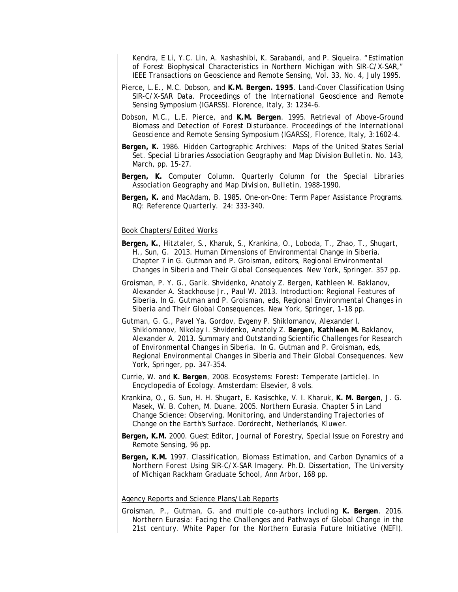Kendra, E Li, Y.C. Lin, A. Nashashibi, K. Sarabandi, and P. Siqueira. "Estimation of Forest Biophysical Characteristics in Northern Michigan with SIR-C/X-SAR," *IEEE Transactions on Geoscience and Remote Sensing*, Vol. 33, No. 4, July 1995.

- Pierce, L.E., M.C. Dobson, and **K.M. Bergen. 1995**. Land-Cover Classification Using SIR-C/X-SAR Data. *Proceedings of the International Geoscience and Remote Sensing Symposium (IGARSS).* Florence, Italy, 3: 1234-6.
- Dobson, M.C., L.E. Pierce, and **K.M. Bergen**. 1995. Retrieval of Above-Ground Biomass and Detection of Forest Disturbance. *Proceedings of the International Geoscience and Remote Sensing Symposium (IGARSS)*, Florence, Italy, 3:1602-4.
- **Bergen, K.** 1986. Hidden Cartographic Archives: Maps of the United States Serial Set. *Special Libraries Association Geography and Map Division Bulletin*. No. 143, March, pp. 15-27.
- **Bergen, K.** Computer Column. Quarterly Column for the *Special Libraries Association Geography and Map Division, Bulletin*, 1988-1990.
- **Bergen, K.** and MacAdam, B. 1985. One-on-One: Term Paper Assistance Programs. *RQ: Reference Quarterly*. 24: 333-340.

#### Book Chapters/Edited Works

- **Bergen, K.**, Hitztaler, S., Kharuk, S., Krankina, O., Loboda, T., Zhao, T., Shugart, H., Sun, G. 2013. Human Dimensions of Environmental Change in Siberia. Chapter 7 in G. Gutman and P. Groisman, editors, *Regional Environmental Changes in Siberia and Their Global Consequences.* New York, Springer. 357 pp.
- Groisman, P. Y. G., Garik. Shvidenko, Anatoly Z. Bergen, Kathleen M. Baklanov, Alexander A. Stackhouse Jr., Paul W. 2013. Introduction: Regional Features of Siberia. In G. Gutman and P. Groisman, eds, *Regional Environmental Changes in Siberia and Their Global Consequences.* New York, Springer, 1-18 pp.
- Gutman, G. G., Pavel Ya. Gordov, Evgeny P. Shiklomanov, Alexander I. Shiklomanov, Nikolay I. Shvidenko, Anatoly Z. **Bergen, Kathleen M.** Baklanov, Alexander A. 2013. Summary and Outstanding Scientific Challenges for Research of Environmental Changes in Siberia. In G. Gutman and P. Groisman, eds, *Regional Environmental Changes in Siberia and Their Global Consequences.* New York, Springer, pp. 347-354.
- Currie, W. and **K. Bergen**, 2008. Ecosystems: Forest: Temperate (article). In *Encyclopedia of Ecology*. Amsterdam: Elsevier, 8 vols.
- Krankina, O., G. Sun, H. H. Shugart, E. Kasischke, V. I. Kharuk, **K. M. Bergen**, J. G. Masek, W. B. Cohen, M. Duane. 2005. Northern Eurasia. Chapter 5 in *Land Change Science: Observing, Monitoring, and Understanding Trajectories of Change on the Earth's Surface*. Dordrecht, Netherlands, Kluwer.
- **Bergen, K.M.** 2000. Guest Editor, *Journal of Forestry,* Special Issue on Forestry and Remote Sensing, 96 pp.
- **Bergen, K.M.** 1997. *Classification, Biomass Estimation, and Carbon Dynamics of a Northern Forest Using SIR-C/X-SAR Imagery*. Ph.D. Dissertation, The University of Michigan Rackham Graduate School, Ann Arbor, 168 pp.

#### Agency Reports and Science Plans/Lab Reports

Groisman, P., Gutman, G. and multiple co-authors including **K. Bergen**. 2016. *Northern Eurasia: Facing the Challenges and Pathways of Global Change in the 21st century.* White Paper for the Northern Eurasia Future Initiative (NEFI).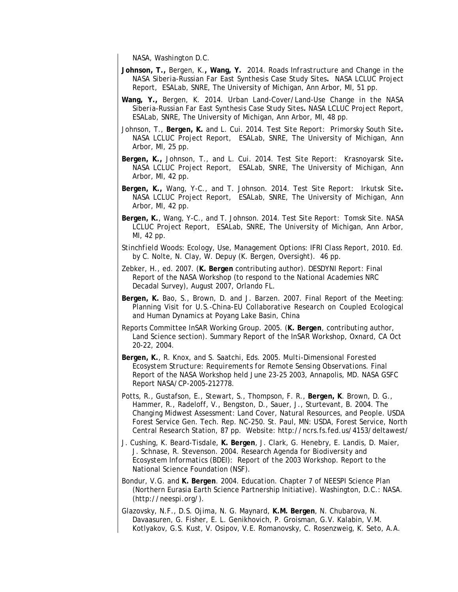NASA, Washington D.C.

- **Johnson, T.,** Bergen, K.**, Wang, Y.** 2014. *Roads Infrastructure and Change in the NASA Siberia-Russian Far East Synthesis Case Study Sites.*NASA LCLUC Project Report, ESALab, SNRE, The University of Michigan, Ann Arbor, MI, 51 pp.
- **Wang, Y.,** Bergen, K. 2014. *Urban Land-Cover/Land-Use Change in the NASA Siberia-Russian Far East Synthesis Case Study Sites***.** NASA LCLUC Project Report, ESALab, SNRE, The University of Michigan, Ann Arbor, MI, 48 pp.
- Johnson, T., **Bergen, K.** and L. Cui. 2014. *Test Site Report: Primorsky South Site***.**  NASA LCLUC Project Report, ESALab, SNRE, The University of Michigan, Ann Arbor, MI, 25 pp.
- **Bergen, K.,** Johnson, T., and L. Cui. 2014. *Test Site Report: Krasnoyarsk Site***.**  NASA LCLUC Project Report, ESALab, SNRE, The University of Michigan, Ann Arbor, MI, 42 pp.
- **Bergen, K.,** Wang, Y-C., and T. Johnson. 2014. *Test Site Report: Irkutsk Site***.**  NASA LCLUC Project Report, ESALab, SNRE, The University of Michigan, Ann Arbor, MI, 42 pp.
- **Bergen, K.**, Wang, Y-C., and T. Johnson. 2014. *Test Site Report: Tomsk Site. NASA LCLUC Project Report,* ESALab, SNRE, The University of Michigan, Ann Arbor, MI, 42 pp.
- S*tinchfield Woods: Ecology, Use, Management Options: IFRI Class Report*, 2010. Ed. by C. Nolte, N. Clay, W. Depuy (K. Bergen, Oversight). 46 pp.
- Zebker, H., ed. 2007. (**K. Bergen** contributing author). *DESDYNI Report:* Final Report of the NASA Workshop (to respond to the National Academies NRC Decadal Survey), August 2007, Orlando FL.
- **Bergen, K.** Bao, S., Brown, D. and J. Barzen. 2007. Final Report of the Meeting: Planning Visit for U.S.-China-EU Collaborative Research on Coupled Ecological and Human Dynamics at Poyang Lake Basin, China
- Reports Committee InSAR Working Group. 2005. (**K. Bergen**, contributing author, Land Science section). *Summary Report of the InSAR Workshop*, Oxnard, CA Oct 20-22, 2004.
- **Bergen, K.**, R. Knox, and S. Saatchi, Eds. 2005. *Multi-Dimensional Forested Ecosystem Structure: Requirements for Remote Sensing Observations*. Final Report of the NASA Workshop held June 23-25 2003, Annapolis, MD. NASA GSFC Report NASA/CP-2005-212778.
- Potts, R., Gustafson, E., Stewart, S., Thompson, F. R., **Bergen, K**. Brown, D. G., Hammer, R., Radeloff, V., Bengston, D., Sauer, J., Sturtevant, B. 2004. The Changing Midwest Assessment: Land Cover, Natural Resources, and People. USDA Forest Service Gen. Tech. Rep. NC-250. St. Paul, MN: USDA, Forest Service, North Central Research Station, 87 pp. Website: http://ncrs.fs.fed.us/4153/deltawest/
- J. Cushing, K. Beard-Tisdale, **K. Bergen**, J. Clark, G. Henebry, E. Landis, D. Maier, J. Schnase, R. Stevenson. 2004. *Research Agenda for Biodiversity and Ecosystem Informatics (BDEI): Report of the 2003 Workshop.* Report to the National Science Foundation (NSF).
- Bondur, V.G. and **K. Bergen**. 2004. *Education*. Chapter 7 of *NEESPI Science Plan*  (Northern Eurasia Earth Science Partnership Initiative). Washington, D.C.: NASA. (http://neespi.org/).
- Glazovsky, N.F., D.S. Ojima, N. G. Maynard, **K.M. Bergen**, N. Chubarova, N. Davaasuren, G. Fisher, E. L. Genikhovich, P. Groisman, G.V. Kalabin, V.M. Kotlyakov, G.S. Kust, V. Osipov, V.E. Romanovsky, C. Rosenzweig, K. Seto, A.A.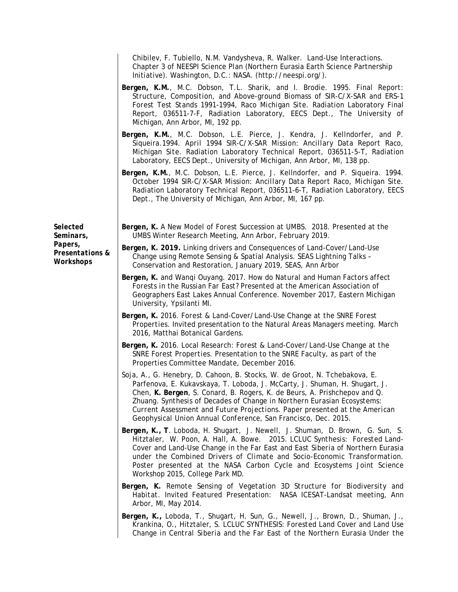|                                                                  | Chibilev, F. Tubiello, N.M. Vandysheva, R. Walker. Land-Use Interactions.<br>Chapter 3 of NEESPI Science Plan (Northern Eurasia Earth Science Partnership<br>Initiative). Washington, D.C.: NASA. (http://neespi.org/).                                                                                                                                                                                                                                          |
|------------------------------------------------------------------|------------------------------------------------------------------------------------------------------------------------------------------------------------------------------------------------------------------------------------------------------------------------------------------------------------------------------------------------------------------------------------------------------------------------------------------------------------------|
|                                                                  | Bergen, K.M., M.C. Dobson, T.L. Sharik, and I. Brodie. 1995. Final Report:<br>Structure, Composition, and Above-ground Biomass of SIR-C/X-SAR and ERS-1<br>Forest Test Stands 1991-1994, Raco Michigan Site. Radiation Laboratory Final<br>Report, 036511-7-F, Radiation Laboratory, EECS Dept., The University of<br>Michigan, Ann Arbor, MI, 192 pp.                                                                                                           |
|                                                                  | Bergen, K.M., M.C. Dobson, L.E. Pierce, J. Kendra, J. Kellndorfer, and P.<br>Siqueira.1994. April 1994 SIR-C/X-SAR Mission: Ancillary Data Report Raco,<br>Michigan Site. Radiation Laboratory Technical Report, 036511-5-T, Radiation<br>Laboratory, EECS Dept., University of Michigan, Ann Arbor, MI, 138 pp.                                                                                                                                                 |
|                                                                  | Bergen, K.M., M.C. Dobson, L.E. Pierce, J. Kellndorfer, and P. Siqueira. 1994.<br>October 1994 SIR-C/X-SAR Mission: Ancillary Data Report Raco, Michigan Site.<br>Radiation Laboratory Technical Report, 036511-6-T, Radiation Laboratory, EECS<br>Dept., The University of Michigan, Ann Arbor, MI, 167 pp.                                                                                                                                                     |
| Selected<br>Seminars,<br>Papers,<br>Presentations &<br>Workshops | Bergen, K. A New Model of Forest Succession at UMBS. 2018. Presented at the<br>UMBS Winter Research Meeting, Ann Arbor, February 2019.                                                                                                                                                                                                                                                                                                                           |
|                                                                  | Bergen, K. 2019. Linking drivers and Consequences of Land-Cover/Land-Use<br>Change using Remote Sensing & Spatial Analysis. SEAS Lightning Talks -<br>Conservation and Restoration, January 2019, SEAS, Ann Arbor                                                                                                                                                                                                                                                |
|                                                                  | Bergen, K. and Wanqi Ouyang. 2017. How do Natural and Human Factors affect<br>Forests in the Russian Far East? Presented at the American Association of<br>Geographers East Lakes Annual Conference. November 2017, Eastern Michigan<br>University, Ypsilanti MI.                                                                                                                                                                                                |
|                                                                  | Bergen, K. 2016. Forest & Land-Cover/Land-Use Change at the SNRE Forest<br>Properties. Invited presentation to the Natural Areas Managers meeting. March<br>2016, Matthai Botanical Gardens.                                                                                                                                                                                                                                                                     |
|                                                                  | Bergen, K. 2016. Local Research: Forest & Land-Cover/Land-Use Change at the<br>SNRE Forest Properties. Presentation to the SNRE Faculty, as part of the<br>Properties Committee Mandate, December 2016.                                                                                                                                                                                                                                                          |
|                                                                  | Soja, A., G. Henebry, D. Cahoon, B. Stocks, W. de Groot, N. Tchebakova, E.<br>Parfenova, E. Kukavskaya, T. Loboda, J. McCarty, J. Shuman, H. Shugart, J.<br>Chen, K. Bergen, S. Conard, B. Rogers, K. de Beurs, A. Prishchepov and Q.<br>Zhuang. Synthesis of Decades of Change in Northern Eurasian Ecosystems:<br>Current Assessment and Future Projections. Paper presented at the American<br>Geophysical Union Annual Conference, San Francisco, Dec. 2015. |
|                                                                  | Bergen, K., T. Loboda, H. Shugart, J. Newell, J. Shuman, D. Brown, G. Sun, S.<br>Hitztaler, W. Poon, A. Hall, A. Bowe. 2015. LCLUC Synthesis: Forested Land-<br>Cover and Land-Use Change in the Far East and East Siberia of Northern Eurasia<br>under the Combined Drivers of Climate and Socio-Economic Transformation.<br>Poster presented at the NASA Carbon Cycle and Ecosystems Joint Science<br>Workshop 2015, College Park MD.                          |
|                                                                  | Bergen, K. Remote Sensing of Vegetation 3D Structure for Biodiversity and<br>Habitat. Invited Featured Presentation: NASA ICESAT-Landsat meeting, Ann<br>Arbor, MI, May 2014.                                                                                                                                                                                                                                                                                    |
|                                                                  | Bergen, K., Loboda, T., Shugart, H. Sun, G., Newell, J., Brown, D., Shuman, J.,<br>Krankina, O., Hitztaler, S. LCLUC SYNTHESIS: Forested Land Cover and Land Use<br>Change in Central Siberia and the Far East of the Northern Eurasia Under the                                                                                                                                                                                                                 |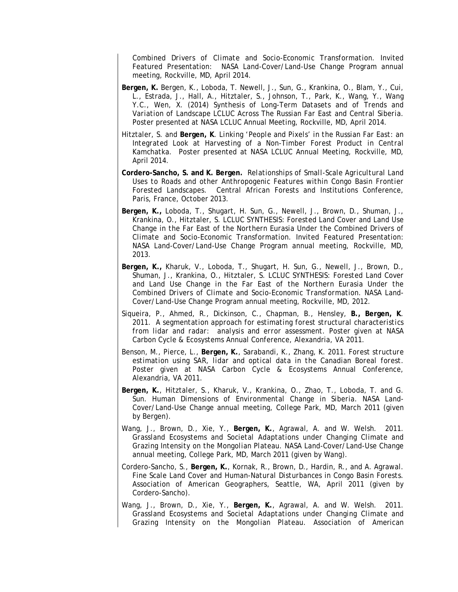*Combined Drivers of Climate and Socio-Economic Transformation*. Invited Featured Presentation: NASA Land-Cover/Land-Use Change Program annual meeting, Rockville, MD, April 2014.

- **Bergen, K.** Bergen, K., Loboda, T. Newell, J., Sun, G., Krankina, O., Blam, Y., Cui, L., Estrada, J., Hall, A., Hitztaler, S., Johnson, T., Park, K., Wang, Y., Wang Y.C., Wen, X. (2014) *Synthesis of Long-Term Datasets and of Trends and Variation of Landscape LCLUC Across The Russian Far East and Central Siberia*. Poster presented at NASA LCLUC Annual Meeting, Rockville, MD, April 2014.
- Hitztaler, S. and **Bergen, K**. *Linking 'People and Pixels' in the Russian Far East: an Integrated Look at Harvesting of a Non-Timber Forest Product in Central Kamchatka*. Poster presented at NASA LCLUC Annual Meeting, Rockville, MD, April 2014.
- **Cordero-Sancho, S. and K. Bergen***. Relationships of Small-Scale Agricultural Land Uses to Roads and other Anthropogenic Features within Congo Basin Frontier Forested Landscapes*. Central African Forests and Institutions Conference, Paris, France, October 2013.
- **Bergen, K.,** Loboda, T., Shugart, H. Sun, G., Newell, J., Brown, D., Shuman, J., Krankina, O., Hitztaler, S. LCLUC SYNTHESIS: *Forested Land Cover and Land Use Change in the Far East of the Northern Eurasia Under the Combined Drivers of Climate and Socio-Economic Transformation*. Invited Featured Presentation: NASA Land-Cover/Land-Use Change Program annual meeting, Rockville, MD, 2013.
- **Bergen, K.,** Kharuk, V., Loboda, T., Shugart, H. Sun, G., Newell, J., Brown, D., Shuman, J., Krankina, O., Hitztaler, S. LCLUC SYNTHESIS: *Forested Land Cover and Land Use Change in the Far East of the Northern Eurasia Under the Combined Drivers of Climate and Socio-Economic Transformation*. NASA Land-Cover/Land-Use Change Program annual meeting, Rockville, MD, 2012.
- Siqueira, P., Ahmed, R., Dickinson, C., Chapman, B., Hensley, **B., Bergen, K**. 2011. *A segmentation approach for estimating forest structural characteristics from lidar and radar: analysis and error assessment*. Poster given at NASA Carbon Cycle & Ecosystems Annual Conference, Alexandria, VA 2011.
- Benson, M., Pierce, L., **Bergen, K.**, Sarabandi, K., Zhang, K. 2011. *Forest structure estimation using SAR, lidar and optical data in the Canadian Boreal forest*. Poster given at NASA Carbon Cycle & Ecosystems Annual Conference, Alexandria, VA 2011.
- **Bergen, K.**, Hitztaler, S., Kharuk, V., Krankina, O., Zhao, T., Loboda, T. and G. Sun. *Human Dimensions of Environmental Change in Siberia.* NASA Land-Cover/Land-Use Change annual meeting, College Park, MD, March 2011 (given by Bergen).
- Wang, J., Brown, D., Xie, Y., **Bergen, K.**, Agrawal, A. and W. Welsh. 2011. *Grassland Ecosystems and Societal Adaptations under Changing Climate and Grazing Intensity on the Mongolian Plateau.* NASA Land-Cover/Land-Use Change annual meeting, College Park, MD, March 2011 (given by Wang).
- Cordero-Sancho, S., **Bergen, K.**, Kornak, R., Brown, D., Hardin, R., and A. Agrawal. *Fine Scale Land Cover and Human-Natural Disturbances in Congo Basin Forests.* Association of American Geographers, Seattle, WA, April 2011 (given by Cordero-Sancho).
- Wang, J., Brown, D., Xie, Y., **Bergen, K.**, Agrawal, A. and W. Welsh. 2011. *Grassland Ecosystems and Societal Adaptations under Changing Climate and Grazing Intensity on the Mongolian Plateau.* Association of American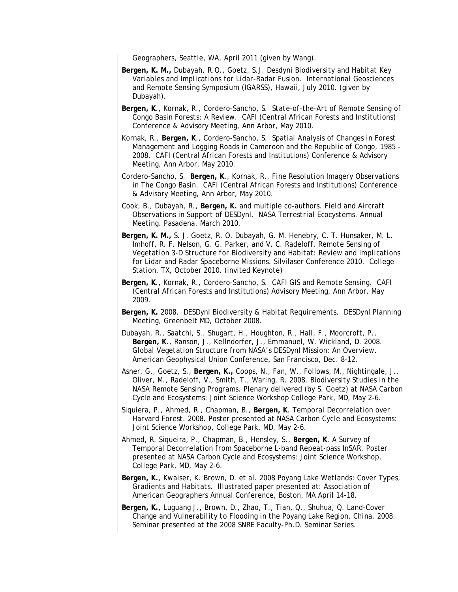Geographers, Seattle, WA, April 2011 (given by Wang).

- **Bergen, K. M.,** Dubayah, R.O., Goetz, S.J. *Desdyni Biodiversity and Habitat Key Variables and Implications for Lidar-Radar Fusion. International Geosciences and Remote Sensing Symposium (IGARSS*), Hawaii, July 2010. (given by Dubayah).
- **Bergen, K**., Kornak, R., Cordero-Sancho, S. *State-of-the-Art of Remote Sensing of Congo Basin Forests: A Review*. CAFI (Central African Forests and Institutions) Conference & Advisory Meeting, Ann Arbor, May 2010.
- Kornak, R., **Bergen, K**., Cordero-Sancho, S. *Spatial Analysis of Changes in Forest Management and Logging Roads in Cameroon and the Republic of Congo, 1985 - 2008*. CAFI (Central African Forests and Institutions) Conference & Advisory Meeting, Ann Arbor, May 2010.
- Cordero-Sancho, S. **Bergen, K**., Kornak, R., *Fine Resolution Imagery Observations in The Congo Basin*. CAFI (Central African Forests and Institutions) Conference & Advisory Meeting, Ann Arbor, May 2010.
- Cook, B., Dubayah, R., **Bergen, K.** and multiple co-authors. *Field and Aircraft Observations in Support of DESDynI. NASA Terrestrial Ecocystems*. Annual Meeting. Pasadena. March 2010.
- **Bergen, K. M.,** S. J. Goetz, R. O. Dubayah, G. M. Henebry, C. T. Hunsaker, M. L. Imhoff, R. F. Nelson, G. G. Parker, and V. C. Radeloff. *Remote Sensing of Vegetation 3-D Structure for Biodiversity and Habitat: Review and Implications for Lidar and Radar Spaceborne Missions*. Silvilaser Conference 2010. College Station, TX, October 2010. (invited Keynote)
- **Bergen, K**., Kornak, R., Cordero-Sancho, S. *CAFI GIS and Remote Sensing*. CAFI (Central African Forests and Institutions) Advisory Meeting, Ann Arbor, May 2009.
- **Bergen, K.** 2008. *DESDynI Biodiversity & Habitat Requirements*. DESDynI Planning Meeting, Greenbelt MD, October 2008.
- Dubayah, R., Saatchi, S., Shugart, H., Houghton, R., Hall, F., Moorcroft, P., **Bergen, K**., Ranson, J., Kellndorfer, J., Emmanuel, W. Wickland, D. 2008. *Global Vegetation Structure from NASA's DESDynI Mission: An Overview.* American Geophysical Union Conference, San Francisco, Dec. 8-12.
- Asner, G., Goetz, S., **Bergen, K.,** Coops, N., Fan, W., Follows, M., Nightingale, J., Oliver, M., Radeloff, V., Smith, T., Waring, R. 2008. *Biodiversity Studies in the NASA Remote Sensing Programs*. Plenary delivered (by S. Goetz) at NASA Carbon Cycle and Ecosystems: Joint Science Workshop College Park, MD, May 2-6.
- Siquiera, P., Ahmed, R., Chapman, B., **Bergen, K**. *Temporal Decorrelation over Harvard Forest*. 2008. Poster presented at NASA Carbon Cycle and Ecosystems: Joint Science Workshop, College Park, MD, May 2-6.
- Ahmed, R. Siqueira, P., Chapman, B., Hensley, S., **Bergen, K**. *A Survey of Temporal Decorrelation from Spaceborne L-band Repeat-pass InSAR*. Poster presented at NASA Carbon Cycle and Ecosystems: Joint Science Workshop, College Park, MD, May 2-6.
- **Bergen, K.**, Kwaiser, K. Brown, D. et al. 2008 *Poyang Lake Wetlands: Cover Types, Gradients and Habitats*. Illustrated paper presented at: Association of American Geographers Annual Conference, Boston, MA April 14-18.
- **Bergen, K.**, Luguang J., Brown, D., Zhao, T., Tian, Q., Shuhua, Q. *Land-Cover Change and Vulnerability to Flooding in the Poyang Lake Region, China*. 2008. Seminar presented at the 2008 SNRE Faculty-Ph.D. Seminar Series.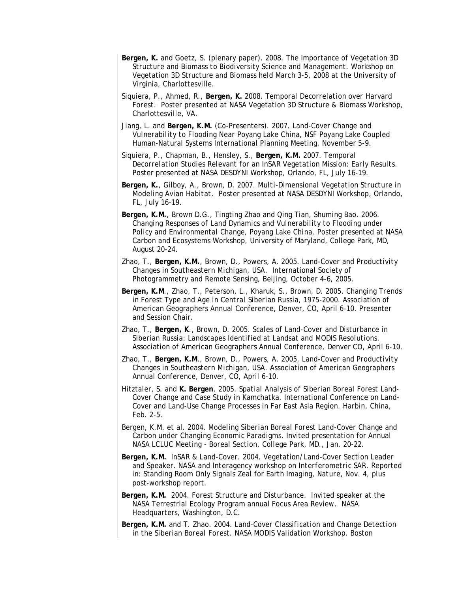- **Bergen, K.** and Goetz, S. (plenary paper). 2008. *The Importance of Vegetation 3D Structure and Biomass to Biodiversity Science and Management.* Workshop on Vegetation 3D Structure and Biomass held March 3-5, 2008 at the University of Virginia, Charlottesville.
- Siquiera, P., Ahmed, R., **Bergen, K.** 2008. *Temporal Decorrelation over Harvard Forest*. Poster presented at NASA Vegetation 3D Structure & Biomass Workshop, Charlottesville, VA.
- Jiang, L. and **Bergen, K.M.** (Co-Presenters). 2007. *Land-Cover Change and Vulnerability to Flooding Near Poyang Lake China,* NSF Poyang Lake Coupled Human-Natural Systems International Planning Meeting. November 5-9.
- Siquiera, P., Chapman, B., Hensley, S., **Bergen, K.M.** 2007. *Temporal Decorrelation Studies Relevant for an InSAR Vegetation Mission: Early Results*. Poster presented at NASA DESDYNI Workshop, Orlando, FL, July 16-19.
- **Bergen, K.**, Gilboy, A., Brown, D. 2007. *Multi-Dimensional Vegetation Structure in Modeling Avian Habitat*. Poster presented at NASA DESDYNI Workshop, Orlando, FL, July 16-19.
- **Bergen, K.M.**, Brown D.G., Tingting Zhao and Qing Tian, Shuming Bao. 2006. *Changing Responses of Land Dynamics and Vulnerability to Flooding under Policy and Environmental Change, Poyang Lake China*. Poster presented at NASA Carbon and Ecosystems Workshop, University of Maryland, College Park, MD, August 20-24.
- Zhao, T., **Bergen, K.M.**, Brown, D., Powers, A. 2005*. Land-Cover and Productivity Changes in Southeastern Michigan, USA*. International Society of Photogrammetry and Remote Sensing, Beijing, October 4-6, 2005.
- **Bergen, K.M**., Zhao, T., Peterson, L., Kharuk, S., Brown, D. 2005. *Changing Trends in Forest Type and Age in Central Siberian Russia, 1975-2000*. Association of American Geographers Annual Conference, Denver, CO, April 6-10. Presenter and Session Chair.
- Zhao, T., **Bergen, K**., Brown, D. 2005*. Scales of Land-Cover and Disturbance in Siberian Russia: Landscapes Identified at Landsat and MODIS Resolutions*. Association of American Geographers Annual Conference, Denver CO, April 6-10.
- Zhao, T., **Bergen, K.M**., Brown, D., Powers, A. 2005*. Land-Cover and Productivity Changes in Southeastern Michigan, USA*. Association of American Geographers Annual Conference, Denver, CO, April 6-10.
- Hitztaler, S. and **K. Bergen**. 2005. *Spatial Analysis of Siberian Boreal Forest Land-Cover Change and Case Study in Kamchatka*. International Conference on Land-Cover and Land-Use Change Processes in Far East Asia Region. Harbin, China, Feb. 2-5.
- Bergen, K.M. et al. 2004. *Modeling Siberian Boreal Forest Land-Cover Change and Carbon under Changing Economic Paradigms*. Invited presentation for Annual NASA LCLUC Meeting - Boreal Section, College Park, MD., Jan. 20-22.
- **Bergen, K.M.** *InSAR & Land-Cover*. 2004. Vegetation/Land-Cover Section Leader and Speaker. *NASA and Interagency workshop on Interferometric SAR*. Reported in: Standing Room Only Signals Zeal for Earth Imaging, *Nature*, Nov. 4, plus post-workshop report.
- **Bergen, K.M.** 2004. *Forest Structure and Disturbance*. Invited speaker at the NASA Terrestrial Ecology Program annual Focus Area Review. NASA Headquarters, Washington, D.C.
- **Bergen, K.M.** and T. Zhao. 2004. *Land-Cover Classification and Change Detection in the Siberian Boreal Forest*. NASA MODIS Validation Workshop. Boston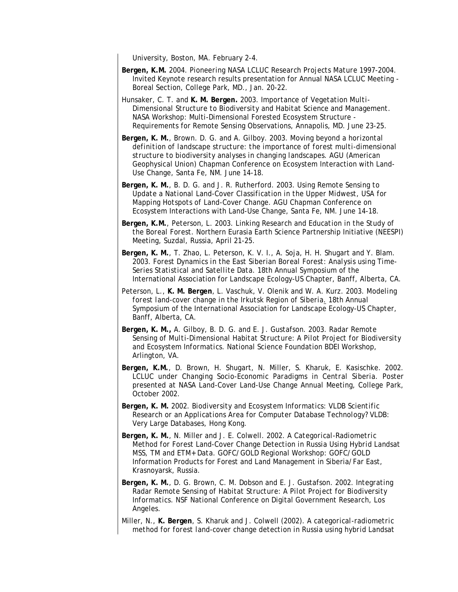University, Boston, MA. February 2-4.

- **Bergen, K.M.** 2004. *Pioneering NASA LCLUC Research Projects Mature 1997-2004*. Invited Keynote research results presentation for Annual NASA LCLUC Meeting - Boreal Section, College Park, MD., Jan. 20-22.
- Hunsaker, C. T. and **K. M. Bergen.** 2003. *Importance of Vegetation Multi-Dimensional Structure to Biodiversity and Habitat Science and Management*. NASA Workshop: Multi-Dimensional Forested Ecosystem Structure - Requirements for Remote Sensing Observations, Annapolis, MD. June 23-25.
- **Bergen, K. M.**, Brown. D. G. and A. Gilboy. 2003. *Moving beyond a horizontal definition of landscape structure: the importance of forest multi-dimensional structure to biodiversity analyses in changing landscapes*. AGU (American Geophysical Union) Chapman Conference on Ecosystem Interaction with Land-Use Change, Santa Fe, NM. June 14-18.
- **Bergen, K. M.**, B. D. G. and J. R. Rutherford. 2003. *Using Remote Sensing to Update a National Land-Cover Classification in the Upper Midwest, USA for Mapping Hotspots of Land-Cover Change*. AGU Chapman Conference on Ecosystem Interactions with Land-Use Change, Santa Fe, NM. June 14-18.
- **Bergen, K.M.**, Peterson, L. 2003. *Linking Research and Education in the Study of the Boreal Forest*. Northern Eurasia Earth Science Partnership Initiative (NEESPI) Meeting, Suzdal, Russia, April 21-25.
- **Bergen, K. M.**, T. Zhao, L. Peterson, K. V. I., A. Soja, H. H. Shugart and Y. Blam. 2003. *Forest Dynamics in the East Siberian Boreal Forest: Analysis using Time-Series Statistical and Satellite Data*. 18th Annual Symposium of the International Association for Landscape Ecology-US Chapter, Banff, Alberta, CA.
- Peterson, L., **K. M. Bergen**, L. Vaschuk, V. Olenik and W. A. Kurz. 2003. *Modeling forest land-cover change in the Irkutsk Region of Siberia.* 18th Annual Symposium of the International Association for Landscape Ecology-US Chapter, Banff, Alberta, CA.
- **Bergen, K. M.,** A. Gilboy, B. D. G. and E. J. Gustafson. 2003. *Radar Remote Sensing of Multi-Dimensional Habitat Structure: A Pilot Project for Biodiversity and Ecosystem Informatics.* National Science Foundation BDEI Workshop, Arlington, VA.
- **Bergen, K.M.**, D. Brown, H. Shugart, N. Miller, S. Kharuk, E. Kasischke. 2002. *LCLUC under Changing Socio-Economic Paradigms in Central Siberia*. Poster presented at NASA Land-Cover Land-Use Change Annual Meeting, College Park, October 2002.
- **Bergen, K. M.** 2002. *Biodiversity and Ecosystem Informatics: VLDB Scientific Research or an Applications Area for Computer Database Technology*? VLDB: Very Large Databases, Hong Kong.
- **Bergen, K. M.**, N. Miller and J. E. Colwell. 2002. *A Categorical-Radiometric Method for Forest Land-Cover Change Detection in Russia Using Hybrid Landsat MSS, TM and ETM+ Data*. GOFC/GOLD Regional Workshop: GOFC/GOLD Information Products for Forest and Land Management in Siberia/Far East, Krasnoyarsk, Russia.
- **Bergen, K. M.**, D. G. Brown, C. M. Dobson and E. J. Gustafson. 2002. *Integrating Radar Remote Sensing of Habitat Structure: A Pilot Project for Biodiversity Informatics.* NSF National Conference on Digital Government Research, Los Angeles.
- Miller, N., **K. Bergen**, S. Kharuk and J. Colwell (2002). *A categorical-radiometric method for forest land-cover change detection in Russia using hybrid Landsat*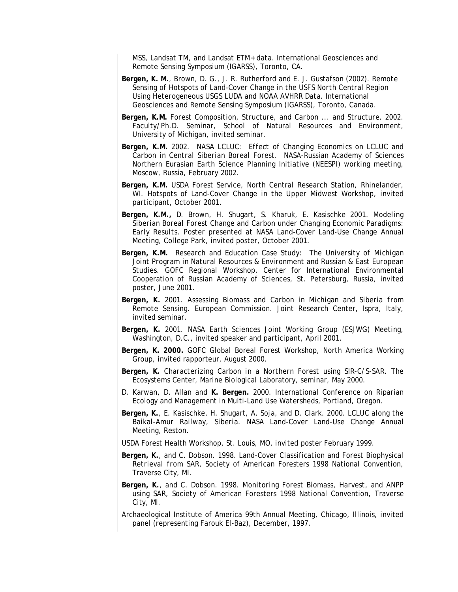*MSS, Landsat TM, and Landsat ETM+ data*. International Geosciences and Remote Sensing Symposium (IGARSS)*,* Toronto, CA.

- **Bergen, K. M.**, Brown, D. G., J. R. Rutherford and E. J. Gustafson (2002). *Remote Sensing of Hotspots of Land-Cover Change in the USFS North Central Region Using Heterogeneous USGS LUDA and NOAA AVHRR Data.* International Geosciences and Remote Sensing Symposium (IGARSS), Toronto, Canada.
- **Bergen, K.M.** *Forest Composition, Structure, and Carbon ... and Structure*. 2002. Faculty/Ph.D. Seminar, School of Natural Resources and Environment, University of Michigan, invited seminar.
- **Bergen, K.M.** 2002. *NASA LCLUC: Effect of Changing Economics on LCLUC and Carbon in Central Siberian Boreal Forest*. NASA-Russian Academy of Sciences Northern Eurasian Earth Science Planning Initiative (NEESPI) working meeting, Moscow, Russia, February 2002.
- **Bergen, K.M.** USDA Forest Service, North Central Research Station, Rhinelander, WI. Hotspots of Land-Cover Change in the Upper Midwest Workshop, invited participant, October 2001.
- **Bergen, K.M.,** D. Brown, H. Shugart, S. Kharuk, E. Kasischke 2001. *Modeling Siberian Boreal Forest Change and Carbon under Changing Economic Paradigms: Early Results.* Poster presented at NASA Land-Cover Land-Use Change Annual Meeting, College Park, invited poster, October 2001.
- **Bergen, K.M.** Research and Education *Case Study: The University of Michigan Joint Program in Natural Resources & Environment and Russian & East European Studies*. GOFC Regional Workshop, Center for International Environmental Cooperation of Russian Academy of Sciences, St. Petersburg, Russia, invited poster, June 2001.
- **Bergen, K.** 2001. *Assessing Biomass and Carbon in Michigan and Siberia from Remote Sensing*. European Commission. Joint Research Center, Ispra, Italy, invited seminar.
- **Bergen, K.** 2001. NASA Earth Sciences Joint Working Group (ESJWG) Meeting, Washington, D.C., invited speaker and participant, April 2001.
- **Bergen, K. 2000.** GOFC Global Boreal Forest Workshop, North America Working Group, invited rapporteur, August 2000.
- **Bergen, K.** *Characterizing Carbon in a Northern Forest using SIR-C/S-SAR.* The Ecosystems Center, Marine Biological Laboratory, seminar, May 2000.
- D. Karwan, D. Allan and **K. Bergen.** 2000. International Conference on Riparian Ecology and Management in Multi-Land Use Watersheds, Portland, Oregon.
- **Bergen, K.**, E. Kasischke, H. Shugart, A. Soja, and D. Clark. 2000. *LCLUC along the Baikal-Amur Railway, Siberia.* NASA Land-Cover Land-Use Change Annual Meeting, Reston.
- USDA Forest Health Workshop, St. Louis, MO, invited poster February 1999.
- **Bergen, K.**, and C. Dobson. 1998. *Land-Cover Classification and Forest Biophysical Retrieval from SAR,* Society of American Foresters 1998 National Convention, Traverse City, MI.
- **Bergen, K.**, and C. Dobson. 1998. *Monitoring Forest Biomass, Harvest, and ANPP using SAR,* Society of American Foresters 1998 National Convention, Traverse City, MI.
- Archaeological Institute of America 99th Annual Meeting, Chicago, Illinois, invited panel (representing Farouk El-Baz), December, 1997.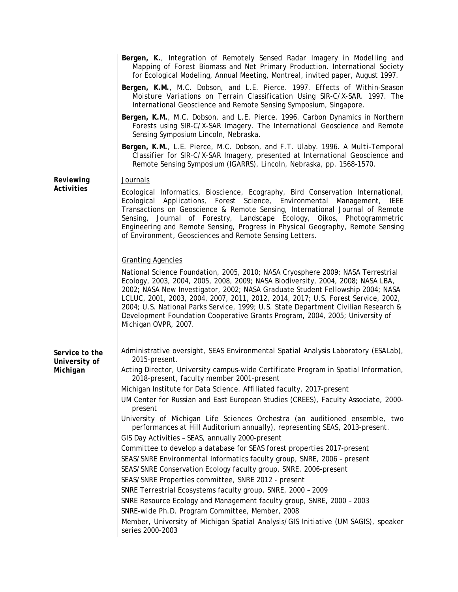|                           | Bergen, K., Integration of Remotely Sensed Radar Imagery in Modelling and<br>Mapping of Forest Biomass and Net Primary Production. International Society<br>for Ecological Modeling, Annual Meeting, Montreal, invited paper, August 1997.                                                                                                                                                                                                                                                                                              |
|---------------------------|-----------------------------------------------------------------------------------------------------------------------------------------------------------------------------------------------------------------------------------------------------------------------------------------------------------------------------------------------------------------------------------------------------------------------------------------------------------------------------------------------------------------------------------------|
|                           | Bergen, K.M., M.C. Dobson, and L.E. Pierce. 1997. Effects of Within-Season<br>Moisture Variations on Terrain Classification Using SIR-C/X-SAR. 1997. The<br>International Geoscience and Remote Sensing Symposium, Singapore.                                                                                                                                                                                                                                                                                                           |
|                           | Bergen, K.M., M.C. Dobson, and L.E. Pierce. 1996. Carbon Dynamics in Northern<br>Forests using SIR-C/X-SAR Imagery. The International Geoscience and Remote<br>Sensing Symposium Lincoln, Nebraska.                                                                                                                                                                                                                                                                                                                                     |
|                           | Bergen, K.M., L.E. Pierce, M.C. Dobson, and F.T. Ulaby. 1996. A Multi-Temporal<br>Classifier for SIR-C/X-SAR Imagery, presented at International Geoscience and<br>Remote Sensing Symposium (IGARRS), Lincoln, Nebraska, pp. 1568-1570.                                                                                                                                                                                                                                                                                                 |
| Reviewing                 | Journals                                                                                                                                                                                                                                                                                                                                                                                                                                                                                                                                |
| Activities                | Ecological Informatics, Bioscience, Ecography, Bird Conservation International,<br>Ecological Applications, Forest Science, Environmental Management, IEEE<br>Transactions on Geoscience & Remote Sensing, International Journal of Remote<br>Sensing, Journal of Forestry, Landscape Ecology, Oikos, Photogrammetric<br>Engineering and Remote Sensing, Progress in Physical Geography, Remote Sensing<br>of Environment, Geosciences and Remote Sensing Letters.                                                                      |
|                           |                                                                                                                                                                                                                                                                                                                                                                                                                                                                                                                                         |
|                           | <b>Granting Agencies</b>                                                                                                                                                                                                                                                                                                                                                                                                                                                                                                                |
|                           | National Science Foundation, 2005, 2010; NASA Cryosphere 2009; NASA Terrestrial<br>Ecology, 2003, 2004, 2005, 2008, 2009; NASA Biodiversity, 2004, 2008; NASA LBA,<br>2002; NASA New Investigator, 2002; NASA Graduate Student Fellowship 2004; NASA<br>LCLUC, 2001, 2003, 2004, 2007, 2011, 2012, 2014, 2017; U.S. Forest Service, 2002,<br>2004; U.S. National Parks Service, 1999; U.S. State Department Civilian Research &<br>Development Foundation Cooperative Grants Program, 2004, 2005; University of<br>Michigan OVPR, 2007. |
| Service to the            | Administrative oversight, SEAS Environmental Spatial Analysis Laboratory (ESALab),<br>2015-present.                                                                                                                                                                                                                                                                                                                                                                                                                                     |
| University of<br>Michigan | Acting Director, University campus-wide Certificate Program in Spatial Information,<br>2018-present, faculty member 2001-present                                                                                                                                                                                                                                                                                                                                                                                                        |
|                           | Michigan Institute for Data Science. Affiliated faculty, 2017-present                                                                                                                                                                                                                                                                                                                                                                                                                                                                   |
|                           | UM Center for Russian and East European Studies (CREES), Faculty Associate, 2000-<br>present                                                                                                                                                                                                                                                                                                                                                                                                                                            |
|                           | University of Michigan Life Sciences Orchestra (an auditioned ensemble, two<br>performances at Hill Auditorium annually), representing SEAS, 2013-present.                                                                                                                                                                                                                                                                                                                                                                              |
|                           | GIS Day Activities - SEAS, annually 2000-present                                                                                                                                                                                                                                                                                                                                                                                                                                                                                        |
|                           | Committee to develop a database for SEAS forest properties 2017-present                                                                                                                                                                                                                                                                                                                                                                                                                                                                 |
|                           | SEAS/SNRE Environmental Informatics faculty group, SNRE, 2006 - present                                                                                                                                                                                                                                                                                                                                                                                                                                                                 |
|                           | SEAS/SNRE Conservation Ecology faculty group, SNRE, 2006-present<br>SEAS/SNRE Properties committee, SNRE 2012 - present                                                                                                                                                                                                                                                                                                                                                                                                                 |
|                           | SNRE Terrestrial Ecosystems faculty group, SNRE, 2000 - 2009                                                                                                                                                                                                                                                                                                                                                                                                                                                                            |
|                           | SNRE Resource Ecology and Management faculty group, SNRE, 2000 - 2003                                                                                                                                                                                                                                                                                                                                                                                                                                                                   |
|                           | SNRE-wide Ph.D. Program Committee, Member, 2008                                                                                                                                                                                                                                                                                                                                                                                                                                                                                         |
|                           | Member, University of Michigan Spatial Analysis/GIS Initiative (UM SAGIS), speaker                                                                                                                                                                                                                                                                                                                                                                                                                                                      |
|                           | series 2000-2003                                                                                                                                                                                                                                                                                                                                                                                                                                                                                                                        |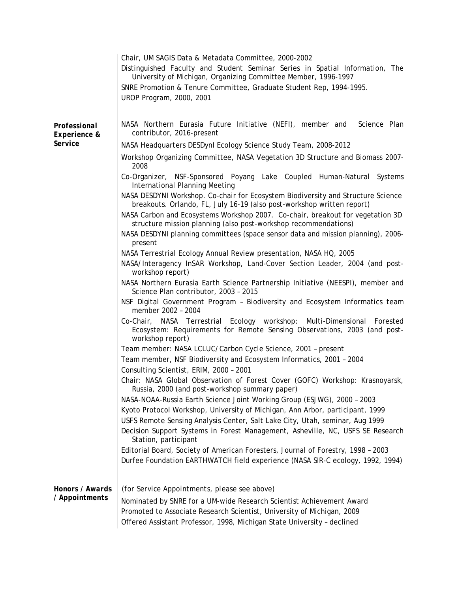|                                         | Chair, UM SAGIS Data & Metadata Committee, 2000-2002<br>Distinguished Faculty and Student Seminar Series in Spatial Information, The<br>University of Michigan, Organizing Committee Member, 1996-1997<br>SNRE Promotion & Tenure Committee, Graduate Student Rep, 1994-1995.<br>UROP Program, 2000, 2001 |
|-----------------------------------------|-----------------------------------------------------------------------------------------------------------------------------------------------------------------------------------------------------------------------------------------------------------------------------------------------------------|
| Professional<br>Experience &<br>Service | NASA Northern Eurasia Future Initiative (NEFI), member and<br>Science Plan<br>contributor, 2016-present                                                                                                                                                                                                   |
|                                         | NASA Headquarters DESDynl Ecology Science Study Team, 2008-2012<br>Workshop Organizing Committee, NASA Vegetation 3D Structure and Biomass 2007-<br>2008                                                                                                                                                  |
|                                         | Co-Organizer, NSF-Sponsored Poyang Lake Coupled Human-Natural Systems<br>International Planning Meeting                                                                                                                                                                                                   |
|                                         | NASA DESDYNI Workshop. Co-chair for Ecosystem Biodiversity and Structure Science<br>breakouts. Orlando, FL, July 16-19 (also post-workshop written report)                                                                                                                                                |
|                                         | NASA Carbon and Ecosystems Workshop 2007. Co-chair, breakout for vegetation 3D<br>structure mission planning (also post-workshop recommendations)                                                                                                                                                         |
|                                         | NASA DESDYNI planning committees (space sensor data and mission planning), 2006-<br>present                                                                                                                                                                                                               |
|                                         | NASA Terrestrial Ecology Annual Review presentation, NASA HQ, 2005<br>NASA/Interagency InSAR Workshop, Land-Cover Section Leader, 2004 (and post-<br>workshop report)                                                                                                                                     |
|                                         | NASA Northern Eurasia Earth Science Partnership Initiative (NEESPI), member and<br>Science Plan contributor, 2003 - 2015                                                                                                                                                                                  |
|                                         | NSF Digital Government Program - Biodiversity and Ecosystem Informatics team<br>member 2002 - 2004                                                                                                                                                                                                        |
|                                         | NASA Terrestrial Ecology workshop: Multi-Dimensional Forested<br>Co-Chair,<br>Ecosystem: Requirements for Remote Sensing Observations, 2003 (and post-<br>workshop report)                                                                                                                                |
|                                         | Team member: NASA LCLUC/Carbon Cycle Science, 2001 - present                                                                                                                                                                                                                                              |
|                                         | Team member, NSF Biodiversity and Ecosystem Informatics, 2001 - 2004<br>Consulting Scientist, ERIM, 2000 - 2001                                                                                                                                                                                           |
|                                         | Chair: NASA Global Observation of Forest Cover (GOFC) Workshop: Krasnoyarsk,<br>Russia, 2000 (and post-workshop summary paper)                                                                                                                                                                            |
|                                         | NASA-NOAA-Russia Earth Science Joint Working Group (ESJWG), 2000 - 2003<br>Kyoto Protocol Workshop, University of Michigan, Ann Arbor, participant, 1999<br>USFS Remote Sensing Analysis Center, Salt Lake City, Utah, seminar, Aug 1999                                                                  |
|                                         | Decision Support Systems in Forest Management, Asheville, NC, USFS SE Research<br>Station, participant                                                                                                                                                                                                    |
|                                         | Editorial Board, Society of American Foresters, Journal of Forestry, 1998 - 2003<br>Durfee Foundation EARTHWATCH field experience (NASA SIR-C ecology, 1992, 1994)                                                                                                                                        |
| Honors / Awards<br>/ Appointments       | (for Service Appointments, please see above)<br>Nominated by SNRE for a UM-wide Research Scientist Achievement Award<br>Promoted to Associate Research Scientist, University of Michigan, 2009<br>Offered Assistant Professor, 1998, Michigan State University - declined                                 |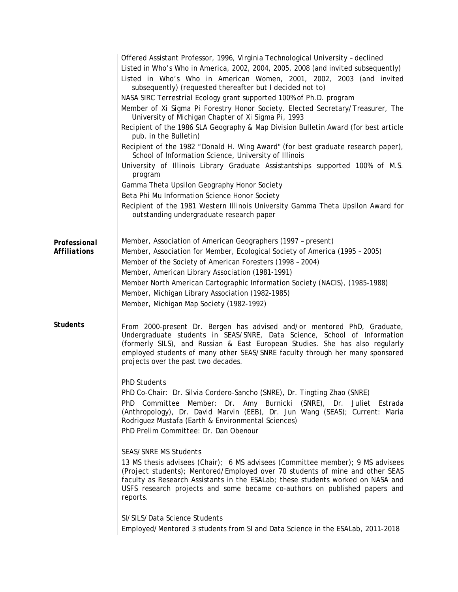|                              | Offered Assistant Professor, 1996, Virginia Technological University - declined<br>Listed in Who's Who in America, 2002, 2004, 2005, 2008 (and invited subsequently)<br>Listed in Who's Who in American Women, 2001, 2002, 2003 (and invited<br>subsequently) (requested thereafter but I decided not to)<br>NASA SIRC Terrestrial Ecology grant supported 100% of Ph.D. program<br>Member of Xi Sigma Pi Forestry Honor Society. Elected Secretary/Treasurer, The<br>University of Michigan Chapter of Xi Sigma Pi, 1993<br>Recipient of the 1986 SLA Geography & Map Division Bulletin Award (for best article<br>pub. in the Bulletin)<br>Recipient of the 1982 "Donald H. Wing Award" (for best graduate research paper),<br>School of Information Science, University of Illinois<br>University of Illinois Library Graduate Assistantships supported 100% of M.S.<br>program<br>Gamma Theta Upsilon Geography Honor Society<br>Beta Phi Mu Information Science Honor Society<br>Recipient of the 1981 Western Illinois University Gamma Theta Upsilon Award for<br>outstanding undergraduate research paper                                                                                                  |
|------------------------------|--------------------------------------------------------------------------------------------------------------------------------------------------------------------------------------------------------------------------------------------------------------------------------------------------------------------------------------------------------------------------------------------------------------------------------------------------------------------------------------------------------------------------------------------------------------------------------------------------------------------------------------------------------------------------------------------------------------------------------------------------------------------------------------------------------------------------------------------------------------------------------------------------------------------------------------------------------------------------------------------------------------------------------------------------------------------------------------------------------------------------------------------------------------------------------------------------------------------|
| Professional<br>Affiliations | Member, Association of American Geographers (1997 - present)<br>Member, Association for Member, Ecological Society of America (1995 - 2005)<br>Member of the Society of American Foresters (1998 - 2004)<br>Member, American Library Association (1981-1991)<br>Member North American Cartographic Information Society (NACIS), (1985-1988)<br>Member, Michigan Library Association (1982-1985)<br>Member, Michigan Map Society (1982-1992)                                                                                                                                                                                                                                                                                                                                                                                                                                                                                                                                                                                                                                                                                                                                                                        |
| <b>Students</b>              | From 2000-present Dr. Bergen has advised and/or mentored PhD, Graduate,<br>Undergraduate students in SEAS/SNRE, Data Science, School of Information<br>(formerly SILS), and Russian & East European Studies. She has also regularly<br>employed students of many other SEAS/SNRE faculty through her many sponsored<br>projects over the past two decades.<br><b>PhD Students</b><br>PhD Co-Chair: Dr. Silvia Cordero-Sancho (SNRE), Dr. Tingting Zhao (SNRE)<br>PhD Committee Member: Dr. Amy Burnicki (SNRE), Dr. Juliet Estrada<br>(Anthropology), Dr. David Marvin (EEB), Dr. Jun Wang (SEAS); Current: Maria<br>Rodriguez Mustafa (Earth & Environmental Sciences)<br>PhD Prelim Committee: Dr. Dan Obenour<br><b>SEAS/SNRE MS Students</b><br>13 MS thesis advisees (Chair); 6 MS advisees (Committee member); 9 MS advisees<br>(Project students); Mentored/Employed over 70 students of mine and other SEAS<br>faculty as Research Assistants in the ESALab; these students worked on NASA and<br>USFS research projects and some became co-authors on published papers and<br>reports.<br>SI/SILS/Data Science Students<br>Employed/Mentored 3 students from SI and Data Science in the ESALab, 2011-2018 |